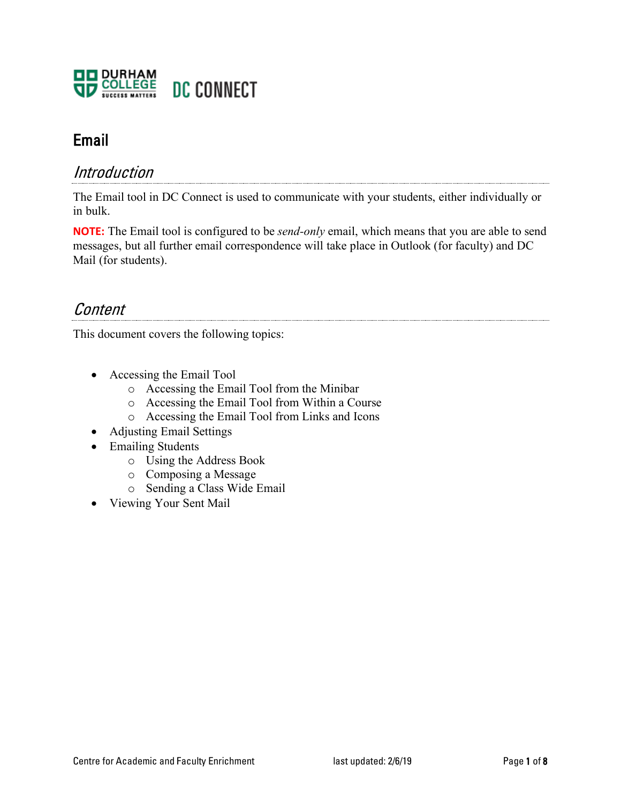

## Email

### Introduction

The Email tool in DC Connect is used to communicate with your students, either individually or in bulk.

**NOTE:** The Email tool is configured to be *send-only* email, which means that you are able to send messages, but all further email correspondence will take place in Outlook (for faculty) and DC Mail (for students).

### **Content**

This document covers the following topics:

- Accessing the Email Tool
	- o Accessing the Email Tool from the Minibar
	- o Accessing the Email Tool from Within a Course
	- o Accessing the Email Tool from Links and Icons
- Adjusting Email Settings
- Emailing Students
	- o Using the Address Book
	- o Composing a Message
	- o Sending a Class Wide Email
- Viewing Your Sent Mail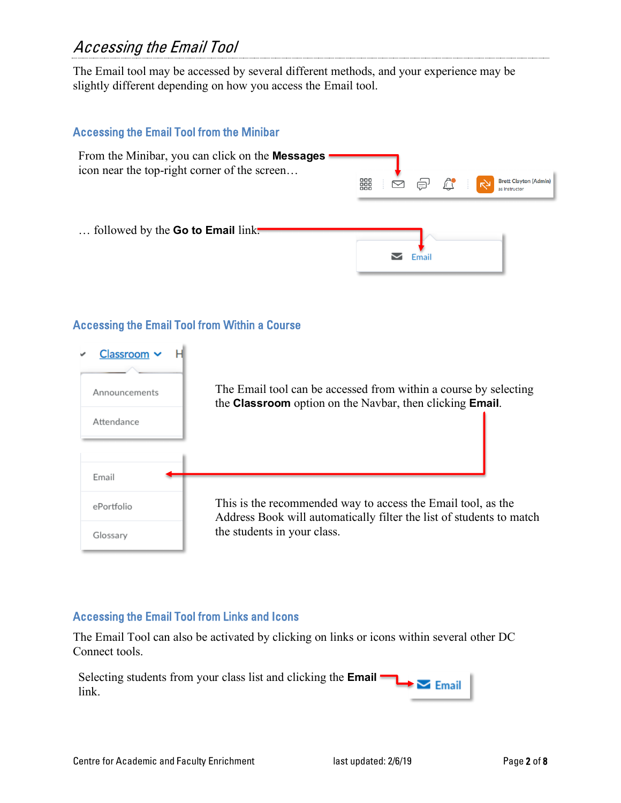# Accessing the Email Tool

The Email tool may be accessed by several different methods, and your experience may be slightly different depending on how you access the Email tool.

### Accessing the Email Tool from the Minibar From the Minibar, you can click on the **Messages** icon near the top-right corner of the screen… **Brett Clayton (Admin)** 器 © ⊜  $\mathbb{L}$ as Instructor … followed by the **Go to Email** link.  $\triangleright$  Email

### Accessing the Email Tool from Within a Course

| י Classroom<br>Announcements<br>Attendance | The Email tool can be accessed from within a course by selecting<br>the Classroom option on the Navbar, then clicking Email.         |
|--------------------------------------------|--------------------------------------------------------------------------------------------------------------------------------------|
| Email                                      |                                                                                                                                      |
| ePortfolio                                 | This is the recommended way to access the Email tool, as the<br>Address Book will automatically filter the list of students to match |
| Glossary                                   | the students in your class.                                                                                                          |

#### Accessing the Email Tool from Links and Icons

The Email Tool can also be activated by clicking on links or icons within several other DC Connect tools.

Selecting students from your class list and clicking the **Email**  $\blacktriangleright$   $\blacktriangleright$  Email link.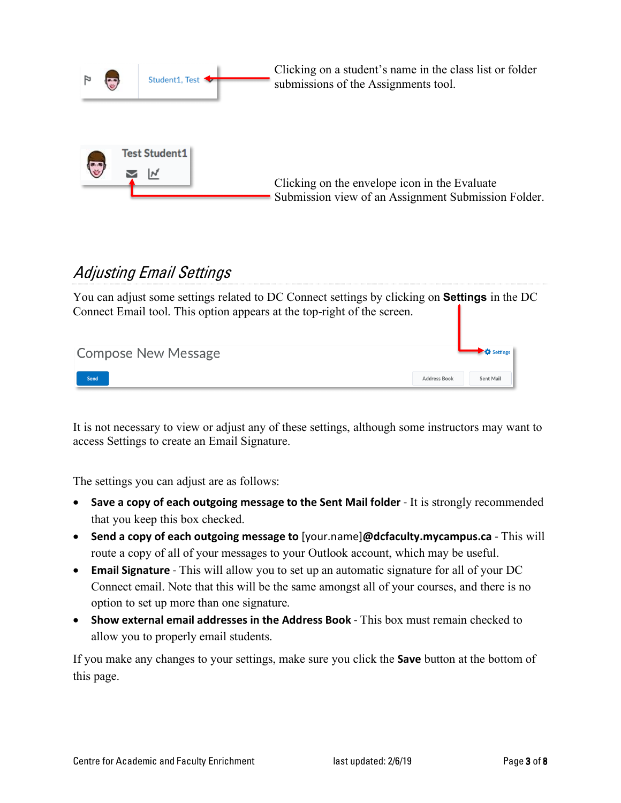

# Adjusting Email Settings

You can adjust some settings related to DC Connect settings by clicking on **Settings** in the DC Connect Email tool. This option appears at the top-right of the screen.

| <b>Compose New Message</b> |                     | $\rightarrow$ $\bullet$ Settings |
|----------------------------|---------------------|----------------------------------|
| Send                       | <b>Address Book</b> | Sent Mail                        |

It is not necessary to view or adjust any of these settings, although some instructors may want to access Settings to create an Email Signature.

The settings you can adjust are as follows:

- **Save a copy of each outgoing message to the Sent Mail folder** It is strongly recommended that you keep this box checked.
- **Send a copy of each outgoing message to** [your.name]**@dcfaculty.mycampus.ca** This will route a copy of all of your messages to your Outlook account, which may be useful.
- **Email Signature** This will allow you to set up an automatic signature for all of your DC Connect email. Note that this will be the same amongst all of your courses, and there is no option to set up more than one signature.
- **Show external email addresses in the Address Book** This box must remain checked to allow you to properly email students.

If you make any changes to your settings, make sure you click the **Save** button at the bottom of this page.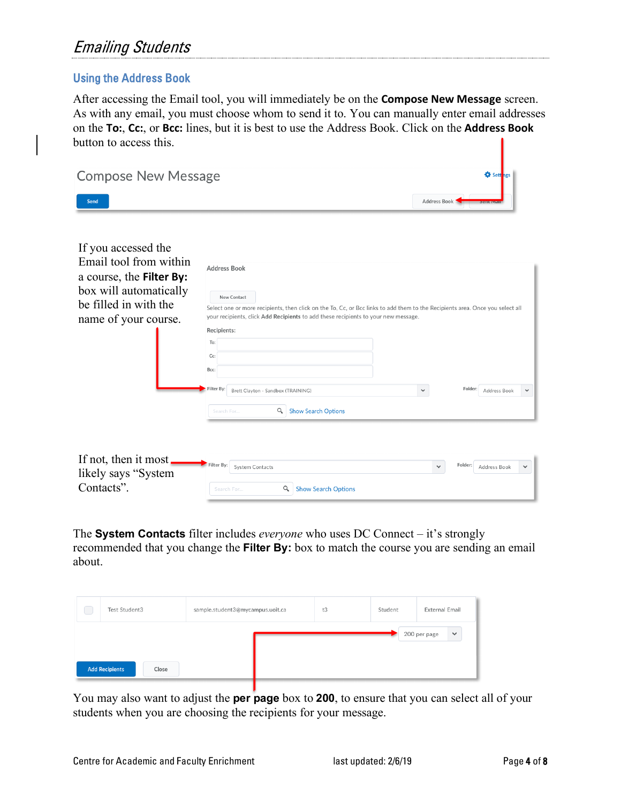## Emailing Students

### Using the Address Book

After accessing the Email tool, you will immediately be on the **Compose New Message** screen. As with any email, you must choose whom to send it to. You can manually enter email addresses on the **To:**, **Cc:**, or **Bcc:** lines, but it is best to use the Address Book. Click on the **Address Book** button to access this.

| <b>Compose New Message</b>                                                                                                                           |                                                                                                                                                                                                                                                                                                                                                                                                            | <b>O</b> Sett                           |
|------------------------------------------------------------------------------------------------------------------------------------------------------|------------------------------------------------------------------------------------------------------------------------------------------------------------------------------------------------------------------------------------------------------------------------------------------------------------------------------------------------------------------------------------------------------------|-----------------------------------------|
| Send                                                                                                                                                 |                                                                                                                                                                                                                                                                                                                                                                                                            | Address Book                            |
| If you accessed the<br>Email tool from within<br>a course, the Filter By:<br>box will automatically<br>be filled in with the<br>name of your course. | <b>Address Book</b><br>New Contact<br>Select one or more recipients, then click on the To, Cc, or Bcc links to add them to the Recipients area. Once you select all<br>your recipients, click Add Recipients to add these recipients to your new message.<br>Recipients:<br>To:<br>Cc:<br>Bcc:<br>Filter By:<br>Brett Clayton - Sandbox (TRAINING)<br>$\alpha$<br><b>Show Search Options</b><br>Search For | Folder:<br>$\checkmark$<br>Address Book |
| If not, then it most.<br>likely says "System"<br>Contacts".                                                                                          | Filter By:<br><b>System Contacts</b><br>Q<br><b>Show Search Options</b><br>Search For                                                                                                                                                                                                                                                                                                                      | Folder:<br>$\checkmark$<br>Address Book |

The **System Contacts** filter includes *everyone* who uses DC Connect – it's strongly recommended that you change the **Filter By:** box to match the course you are sending an email about.

| Test Student3         |       | sample.student3@mycampus.uoit.ca | t3 | Student | External Email               |
|-----------------------|-------|----------------------------------|----|---------|------------------------------|
|                       |       |                                  |    |         | 200 per page<br>$\checkmark$ |
| <b>Add Recipients</b> | Close |                                  |    |         |                              |

You may also want to adjust the **per page** box to **200**, to ensure that you can select all of your students when you are choosing the recipients for your message.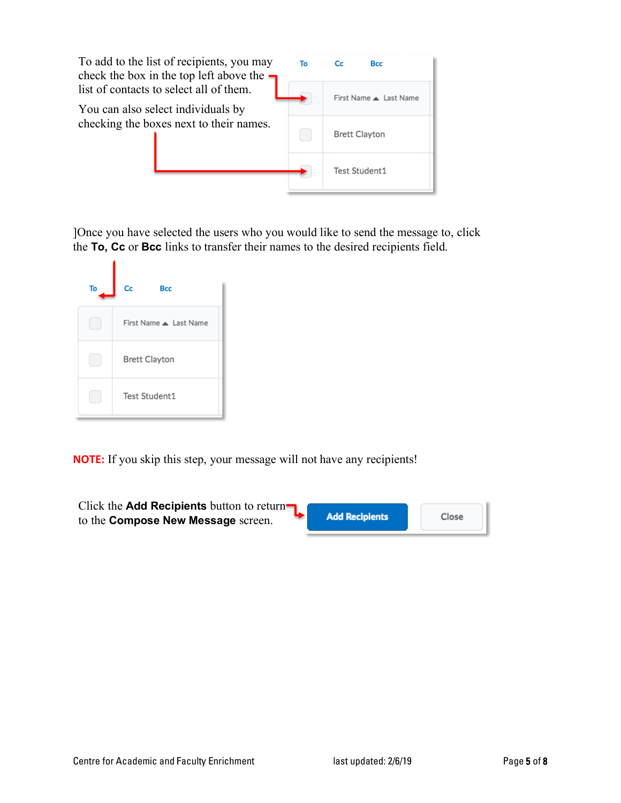

]Once you have selected the users who you would like to send the message to, click the **To, Cc** or **Bcc** links to transfer their names to the desired recipients field.

| To | Cc<br><b>Bcc</b>       |
|----|------------------------|
|    | First Name A Last Name |
|    | <b>Brett Clayton</b>   |
|    | Test Student1          |

ä.

**NOTE:** If you skip this step, your message will not have any recipients!

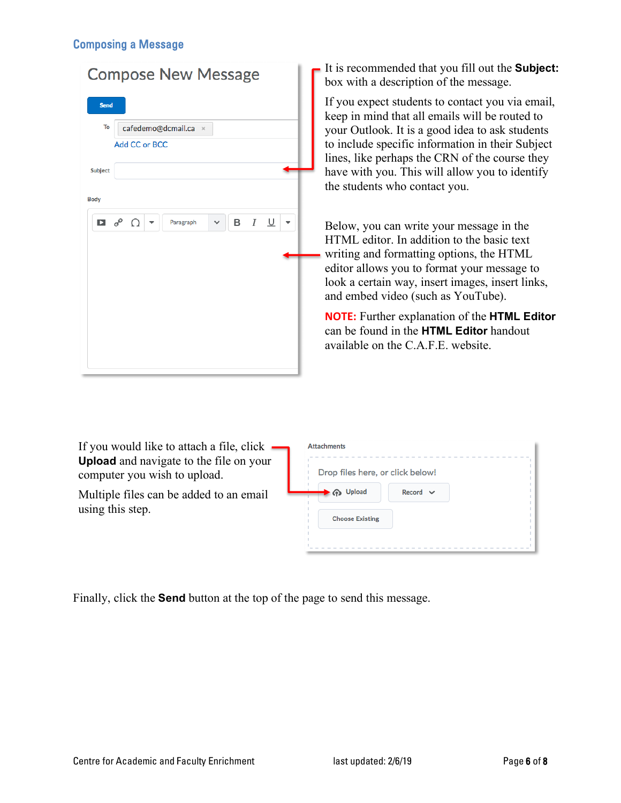#### Composing a Message

| <b>Compose New Message</b>      |  |  |               |                                |  |   |           |  |  |
|---------------------------------|--|--|---------------|--------------------------------|--|---|-----------|--|--|
| <b>Send</b>                     |  |  |               |                                |  |   |           |  |  |
| To                              |  |  |               | cafedemo@dcmail.ca<br>$\times$ |  |   |           |  |  |
|                                 |  |  | Add CC or BCC |                                |  |   |           |  |  |
| <b>Subject</b>                  |  |  |               |                                |  |   |           |  |  |
| <b>Body</b>                     |  |  |               |                                |  |   |           |  |  |
| $\Box$ $\circ^{\circ}$ $\Omega$ |  |  |               | Paragraph                      |  | в | $I \perp$ |  |  |
|                                 |  |  |               |                                |  |   |           |  |  |
|                                 |  |  |               |                                |  |   |           |  |  |
|                                 |  |  |               |                                |  |   |           |  |  |
|                                 |  |  |               |                                |  |   |           |  |  |
|                                 |  |  |               |                                |  |   |           |  |  |
|                                 |  |  |               |                                |  |   |           |  |  |
|                                 |  |  |               |                                |  |   |           |  |  |

It is recommended that you fill out the **Subject:** box with a description of the message.

If you expect students to contact you via email, keep in mind that all emails will be routed to your Outlook. It is a good idea to ask students to include specific information in their Subject lines, like perhaps the CRN of the course they have with you. This will allow you to identify the students who contact you.

Below, you can write your message in the HTML editor. In addition to the basic text writing and formatting options, the HTML editor allows you to format your message to look a certain way, insert images, insert links, and embed video (such as YouTube).

**NOTE:** Further explanation of the **HTML Editor** can be found in the **HTML Editor** handout available on the C.A.F.E. website.

If you would like to attach a file, click **Upload** and navigate to the file on your computer you wish to upload.

Multiple files can be added to an email using this step.

| Drop files here, or click below! |               |  |
|----------------------------------|---------------|--|
| <b>Upload</b>                    | $Record \sim$ |  |
| <b>Choose Existing</b>           |               |  |

Finally, click the **Send** button at the top of the page to send this message.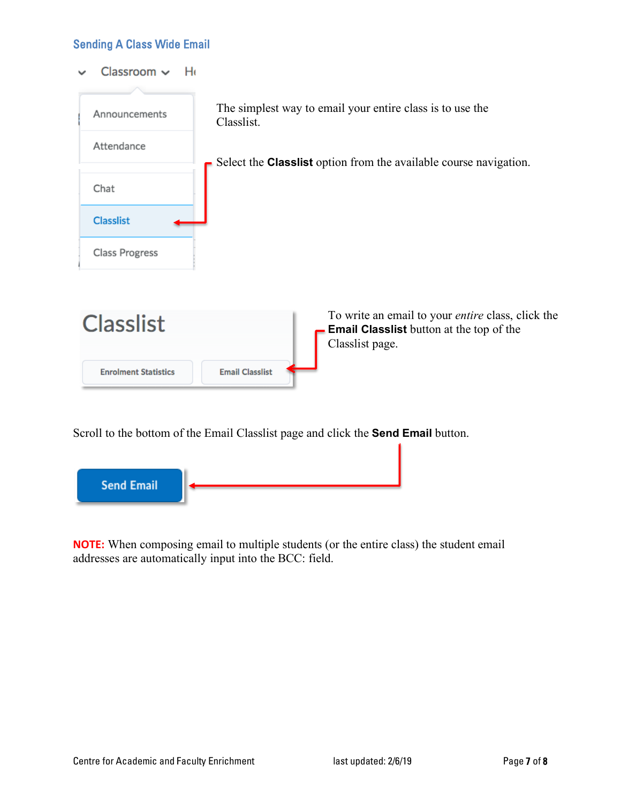Sending A Class Wide Email

Classroom  $\sim$ He  $\overline{\phantom{0}}$ 



Scroll to the bottom of the Email Classlist page and click the **Send Email** button.



**NOTE:** When composing email to multiple students (or the entire class) the student email addresses are automatically input into the BCC: field.